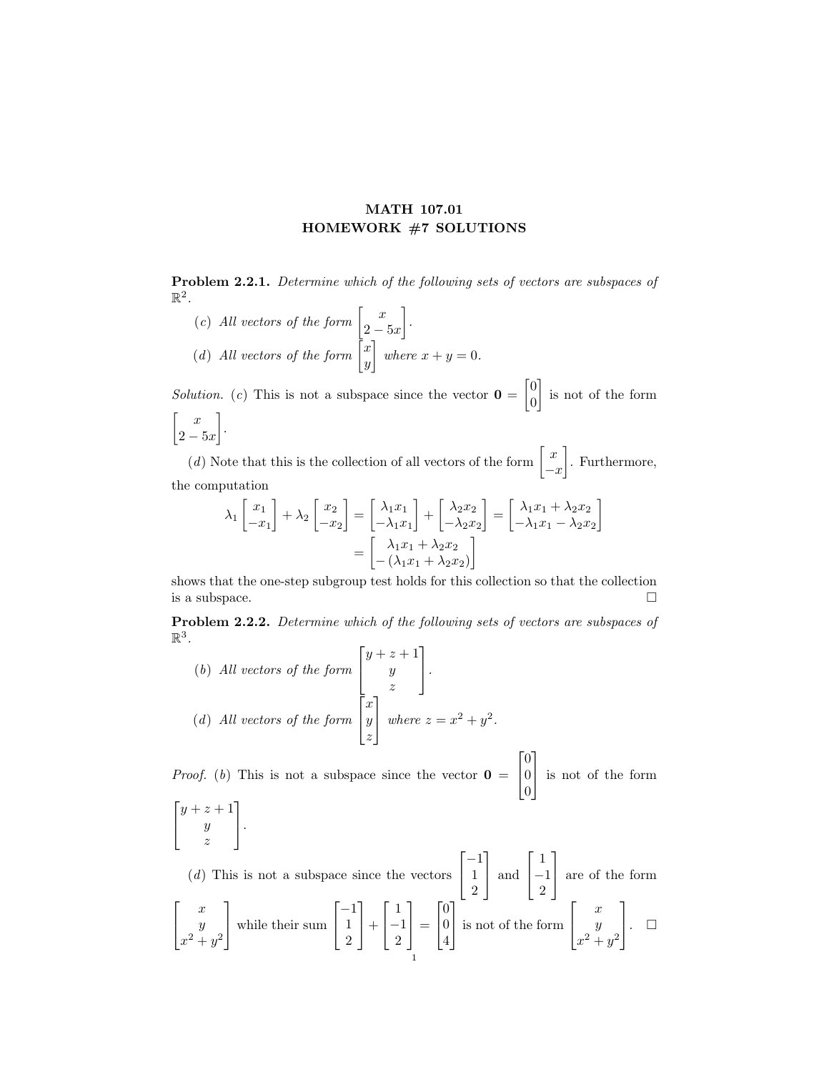## MATH 107.01 HOMEWORK #7 SOLUTIONS

Problem 2.2.1. Determine which of the following sets of vectors are subspaces of  $\mathbb{R}^2$ .

(c) All vectors of the form  $\begin{bmatrix} x \\ 0 \end{bmatrix}$  $2-5x$  . (d) All vectors of the form  $\begin{bmatrix} x \\ y \end{bmatrix}$  $\hat{y}$ where  $x + y = 0$ .

*Solution.* (c) This is not a subspace since the vector  $\mathbf{0} = \begin{bmatrix} 0 \\ 0 \end{bmatrix}$ 0 is not of the form  $\begin{bmatrix} x \end{bmatrix}$  $2-5x$ .

(d) Note that this is the collection of all vectors of the form  $\begin{bmatrix} x \\ y \end{bmatrix}$  $-x$  . Furthermore, the computation

$$
\lambda_1 \begin{bmatrix} x_1 \\ -x_1 \end{bmatrix} + \lambda_2 \begin{bmatrix} x_2 \\ -x_2 \end{bmatrix} = \begin{bmatrix} \lambda_1 x_1 \\ -\lambda_1 x_1 \end{bmatrix} + \begin{bmatrix} \lambda_2 x_2 \\ -\lambda_2 x_2 \end{bmatrix} = \begin{bmatrix} \lambda_1 x_1 + \lambda_2 x_2 \\ -\lambda_1 x_1 - \lambda_2 x_2 \end{bmatrix}
$$

$$
= \begin{bmatrix} \lambda_1 x_1 + \lambda_2 x_2 \\ -(\lambda_1 x_1 + \lambda_2 x_2) \end{bmatrix}
$$

shows that the one-step subgroup test holds for this collection so that the collection is a subspace.  $\Box$ 

Problem 2.2.2. Determine which of the following sets of vectors are subspaces of  $\mathbb{R}^3$ .

(b) All vectors of the form 
$$
\begin{bmatrix} y+z+1 \\ y \\ z \end{bmatrix}
$$
.  
(d) All vectors of the form  $\begin{bmatrix} x \\ y \\ z \end{bmatrix}$  where  $z = x^2 + y^2$ .

*Proof.* (b) This is not a subspace since the vector  $\mathbf{0} =$  $\lceil$  $\overline{1}$  $\overline{0}$ 0  $\overline{0}$ 1 is not of the form

$$
\begin{bmatrix} y+z+1 \\ y \\ z \end{bmatrix}.
$$

 $(d)$  This is not a subspace since the vectors  $\lceil$  $\overline{1}$  $-1$ 1 2 1 and  $\lceil$  $\overline{1}$ 1 −1 2 1 are of the form  $\lceil$  $\overline{1}$  $\boldsymbol{x}$  $\hat{y}$  $x^2+y^2$ 1 while their sum  $\lceil$  $\overline{1}$ −1 1 2 1  $| +$  $\lceil$  $\overline{1}$ 1 −1 2 1  $\vert$  =  $\lceil$  $\overline{1}$  $\overline{0}$  $\overline{0}$ 4 1 is not of the form  $\lceil$  $\overline{1}$  $\boldsymbol{x}$  $\hat{y}$  $x^2+y^2$ 1  $\vert . \vert$ 1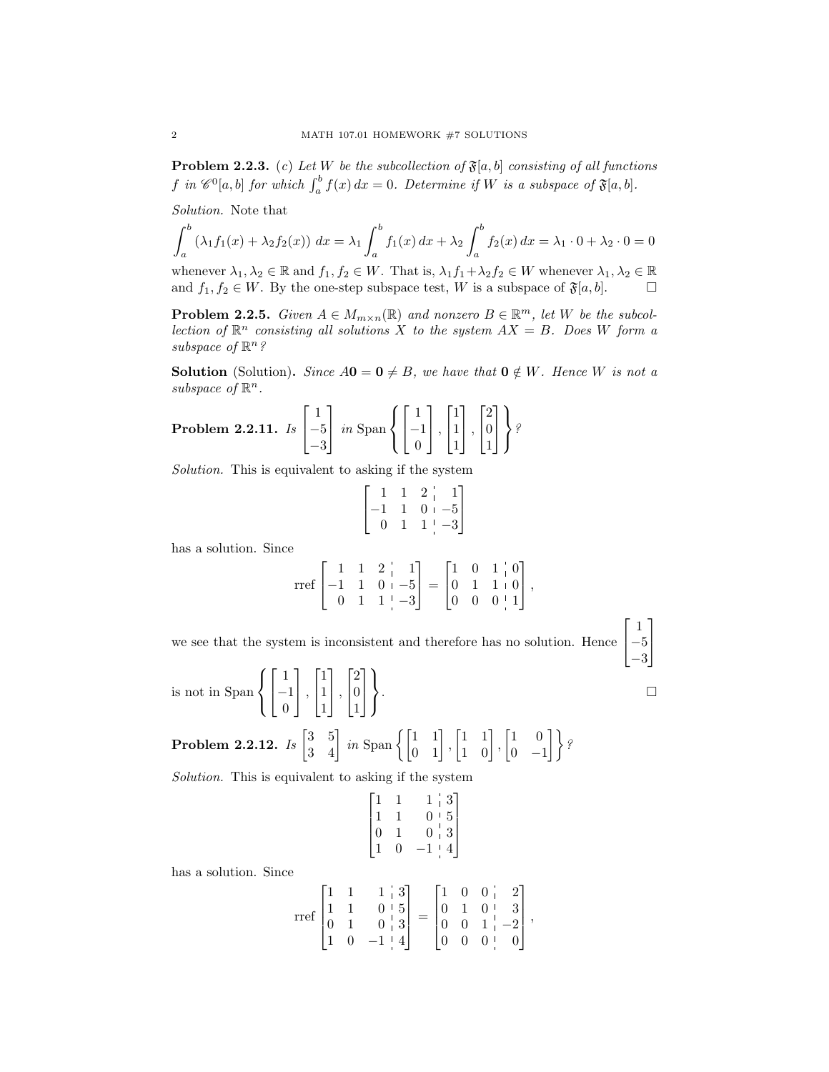**Problem 2.2.3.** (c) Let W be the subcollection of  $\mathfrak{F}[a, b]$  consisting of all functions f in  $\mathscr{C}^0[a,b]$  for which  $\int_a^b f(x) dx = 0$ . Determine if W is a subspace of  $\mathfrak{F}[a,b]$ .

Solution. Note that

$$
\int_{a}^{b} (\lambda_1 f_1(x) + \lambda_2 f_2(x)) dx = \lambda_1 \int_{a}^{b} f_1(x) dx + \lambda_2 \int_{a}^{b} f_2(x) dx = \lambda_1 \cdot 0 + \lambda_2 \cdot 0 = 0
$$

whenever  $\lambda_1, \lambda_2 \in \mathbb{R}$  and  $f_1, f_2 \in W$ . That is,  $\lambda_1 f_1 + \lambda_2 f_2 \in W$  whenever  $\lambda_1, \lambda_2 \in \mathbb{R}$ and  $f_1, f_2 \in W$ . By the one-step subspace test, W is a subspace of  $\mathfrak{F}[a, b]$ .  $\Box$ 

**Problem 2.2.5.** Given  $A \in M_{m \times n}(\mathbb{R})$  and nonzero  $B \in \mathbb{R}^m$ , let W be the subcollection of  $\mathbb{R}^n$  consisting all solutions X to the system  $AX = B$ . Does W form a subspace of  $\mathbb{R}^n$ ?

**Solution** (Solution). Since  $A0 = 0 \neq B$ , we have that  $0 \notin W$ . Hence W is not a subspace of  $\mathbb{R}^n$ .

**Problem 2.2.11.** 
$$
I_s \begin{bmatrix} 1 \\ -5 \\ -3 \end{bmatrix}
$$
 in  $\text{Span} \left\{ \begin{bmatrix} 1 \\ -1 \\ 0 \end{bmatrix}, \begin{bmatrix} 1 \\ 1 \\ 1 \end{bmatrix}, \begin{bmatrix} 2 \\ 0 \\ 1 \end{bmatrix} \right\}$ ?

Solution. This is equivalent to asking if the system

$$
\begin{bmatrix} 1 & 1 & 2 & | & 1 \\ -1 & 1 & 0 & | & -5 \\ 0 & 1 & 1 & | & -3 \end{bmatrix}
$$

has a solution. Since

$$
\text{rref}\begin{bmatrix} 1 & 1 & 2 & 1 \\ -1 & 1 & 0 & -5 \\ 0 & 1 & 1 & -3 \end{bmatrix} = \begin{bmatrix} 1 & 0 & 1 & 0 \\ 0 & 1 & 1 & 0 \\ 0 & 0 & 0 & 1 \end{bmatrix},
$$

1  $\overline{1}$ 

we see that the system is inconsistent and therefore has no solution. Hence  $\sqrt{ }$  $\overline{1}$ 1 −5 −3

. В последните последните последните последните последните последните последните последните последните последн<br>В последните последните последните последните последните последните последните последните последните последнит

is not in Span  $\sqrt{ }$  $\int$  $\mathcal{L}$  $\lceil$  $\overline{1}$ 1 −1  $\overline{0}$ 1  $\vert \cdot$  $\lceil$  $\overline{1}$ 1 1 1 1  $\vert \cdot$  $\lceil$  $\overline{1}$ 2  $\overline{0}$ 1 1  $\overline{1}$  $\mathcal{L}$  $\mathcal{L}$ J

**Problem 2.2.12.** Is  $\begin{bmatrix} 3 & 5 \\ 3 & 4 \end{bmatrix}$  in Span  $\left\{ \begin{bmatrix} 1 & 1 \\ 0 & 1 \end{bmatrix}, \begin{bmatrix} 1 & 1 \\ 1 & 0 \end{bmatrix}, \begin{bmatrix} 1 & 0 \\ 0 & -1 \end{bmatrix} \right\}$  $\begin{bmatrix} 1 & 0 \\ 0 & -1 \end{bmatrix}$  ?

Solution. This is equivalent to asking if the system

| $\begin{array}{c} 1 \\ 1 \\ 0 \end{array}$ |                                            |                                                                   |  |
|--------------------------------------------|--------------------------------------------|-------------------------------------------------------------------|--|
|                                            | $\begin{array}{c} 1 \\ 1 \\ 0 \end{array}$ |                                                                   |  |
| $\left(1\right)$                           |                                            | $\begin{bmatrix} 1 & 3 \\ 0 & 5 \\ 0 & 3 \\ -1 & 4 \end{bmatrix}$ |  |
|                                            |                                            |                                                                   |  |

has a solution. Since

$$
\text{rref}\begin{bmatrix} 1 & 1 & 1 & 3 \\ 1 & 1 & 0 & 5 \\ 0 & 1 & 0 & 3 \\ 1 & 0 & -1 & 4 \end{bmatrix} = \begin{bmatrix} 1 & 0 & 0 & 2 \\ 0 & 1 & 0 & 3 \\ 0 & 0 & 1 & -2 \\ 0 & 0 & 0 & 0 \end{bmatrix},
$$